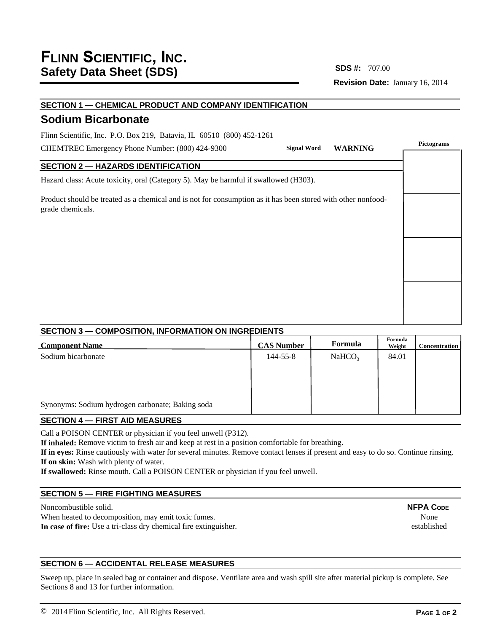**Revision Date:** January 16, 2014 **SDS #:**

# **SECTION 1 — CHEMICAL PRODUCT AND COMPANY IDENTIFICATION**

# **Sodium Bicarbonate**

Flinn Scientific, Inc. P.O. Box 219, Batavia, IL 60510 (800) 452-1261

CHEMTREC Emergency Phone Number: (800) 424-9300

**SECTION 2 — HAZARDS IDENTIFICATION**

Hazard class: Acute toxicity, oral (Category 5). May be harmful if swallowed (H303).

Product should be treated as a chemical and is not for consumption as it has been stored with other nonfoodgrade chemicals.

# **SECTION 3 — COMPOSITION, INFORMATION ON INGREDIENTS**

| <b>Component Name</b>                            | <b>CAS Number</b> | Formula            | Formula<br>Weight | <b>Concentration</b> |
|--------------------------------------------------|-------------------|--------------------|-------------------|----------------------|
| Sodium bicarbonate                               | $144 - 55 - 8$    | NaHCO <sub>3</sub> | 84.01             |                      |
|                                                  |                   |                    |                   |                      |
|                                                  |                   |                    |                   |                      |
| Synonyms: Sodium hydrogen carbonate; Baking soda |                   |                    |                   |                      |

# **SECTION 4 — FIRST AID MEASURES**

Call a POISON CENTER or physician if you feel unwell (P312).

**If inhaled:** Remove victim to fresh air and keep at rest in a position comfortable for breathing.

**If in eyes:** Rinse cautiously with water for several minutes. Remove contact lenses if present and easy to do so. Continue rinsing. **If on skin:** Wash with plenty of water.

**If swallowed:** Rinse mouth. Call a POISON CENTER or physician if you feel unwell.

# **SECTION 5 — FIRE FIGHTING MEASURES**

Noncombustible solid. When heated to decomposition, may emit toxic fumes. **In case of fire:** Use a tri-class dry chemical fire extinguisher.

# **SECTION 6 — ACCIDENTAL RELEASE MEASURES**

Sweep up, place in sealed bag or container and dispose. Ventilate area and wash spill site after material pickup is complete. See Sections 8 and 13 for further information.

None established

**NFPA CODE**

**Pictograms Signal Word WARNING**